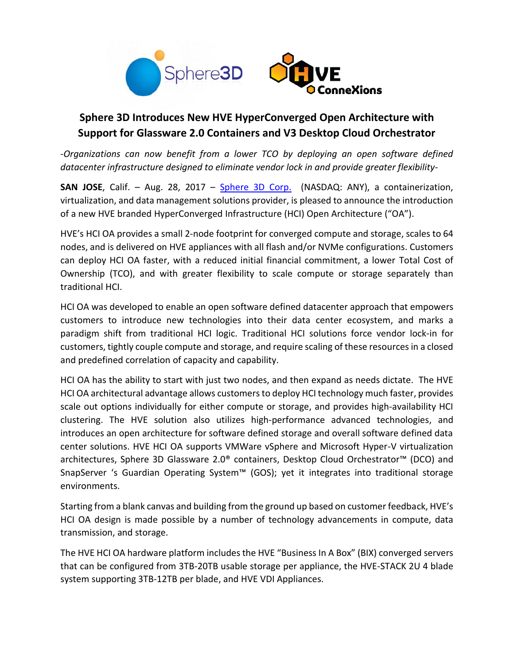

## **Sphere 3D Introduces New HVE HyperConverged Open Architecture with Support for Glassware 2.0 Containers and V3 Desktop Cloud Orchestrator**

-*Organizations can now benefit from a lower TCO by deploying an open software defined datacenter infrastructure designed to eliminate vendor lock in and provide greater flexibility*-

**SAN JOSE**, Calif. – Aug. 28, 2017 – [Sphere 3D Corp.](http://www.sphere3d.com/) (NASDAQ: ANY), a containerization, virtualization, and data management solutions provider, is pleased to announce the introduction of a new HVE branded HyperConverged Infrastructure (HCI) Open Architecture ("OA").

HVE's HCI OA provides a small 2-node footprint for converged compute and storage, scales to 64 nodes, and is delivered on HVE appliances with all flash and/or NVMe configurations. Customers can deploy HCI OA faster, with a reduced initial financial commitment, a lower Total Cost of Ownership (TCO), and with greater flexibility to scale compute or storage separately than traditional HCI.

HCI OA was developed to enable an open software defined datacenter approach that empowers customers to introduce new technologies into their data center ecosystem, and marks a paradigm shift from traditional HCI logic. Traditional HCI solutions force vendor lock-in for customers, tightly couple compute and storage, and require scaling of these resources in a closed and predefined correlation of capacity and capability.

HCI OA has the ability to start with just two nodes, and then expand as needs dictate. The HVE HCI OA architectural advantage allows customersto deploy HCI technology much faster, provides scale out options individually for either compute or storage, and provides high-availability HCI clustering. The HVE solution also utilizes high-performance advanced technologies, and introduces an open architecture for software defined storage and overall software defined data center solutions. HVE HCI OA supports VMWare vSphere and Microsoft Hyper-V virtualization architectures, Sphere 3D Glassware 2.0® containers, Desktop Cloud Orchestrator™ (DCO) and SnapServer 's Guardian Operating System™ (GOS); yet it integrates into traditional storage environments.

Starting from a blank canvas and building from the ground up based on customer feedback, HVE's HCI OA design is made possible by a number of technology advancements in compute, data transmission, and storage.

The HVE HCI OA hardware platform includes the HVE "Business In A Box" (BIX) converged servers that can be configured from 3TB-20TB usable storage per appliance, the HVE-STACK 2U 4 blade system supporting 3TB-12TB per blade, and HVE VDI Appliances.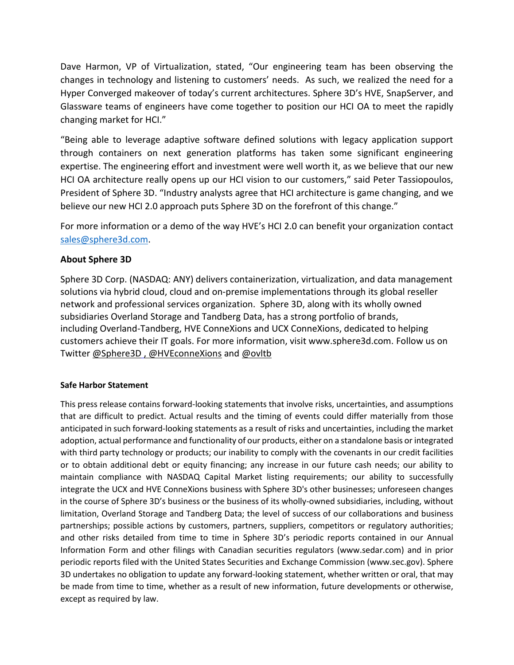Dave Harmon, VP of Virtualization, stated, "Our engineering team has been observing the changes in technology and listening to customers' needs. As such, we realized the need for a Hyper Converged makeover of today's current architectures. Sphere 3D's HVE, SnapServer, and Glassware teams of engineers have come together to position our HCI OA to meet the rapidly changing market for HCI."

"Being able to leverage adaptive software defined solutions with legacy application support through containers on next generation platforms has taken some significant engineering expertise. The engineering effort and investment were well worth it, as we believe that our new HCI OA architecture really opens up our HCI vision to our customers," said Peter Tassiopoulos, President of Sphere 3D. "Industry analysts agree that HCI architecture is game changing, and we believe our new HCI 2.0 approach puts Sphere 3D on the forefront of this change."

For more information or a demo of the way HVE's HCI 2.0 can benefit your organization contact [sales@sphere3d.com.](mailto:sales@sphere3d.com)

## **About Sphere 3D**

Sphere 3D Corp. (NASDAQ: ANY) delivers containerization, virtualization, and data management solutions via hybrid cloud, cloud and on-premise implementations through its global reseller network and professional services organization. Sphere 3D, along with its wholly owned subsidiaries [Overland](http://www.overlandstorage.com/) Storage and [Tandberg](http://www.tandbergdata.com/) Data, has a strong portfolio of brands, including Overland-Tandberg, HVE [ConneXions](http://www.hveconnexions.com/) and UCX [ConneXions,](http://www.ucx.co/) dedicated to helping customers achieve their IT goals. For more information, visit www.sphere3d.com. Follow us on Twitter [@Sphere3D](https://twitter.com/Sphere3D?ref_src=twsrc%255Etfw), [@HVEconneXions](https://twitter.com/HVEConneXions) and [@ovltb](https://twitter.com/ovltb)

## **Safe Harbor Statement**

This press release contains forward-looking statements that involve risks, uncertainties, and assumptions that are difficult to predict. Actual results and the timing of events could differ materially from those anticipated in such forward-looking statements as a result of risks and uncertainties, including the market adoption, actual performance and functionality of our products, either on a standalone basis or integrated with third party technology or products; our inability to comply with the covenants in our credit facilities or to obtain additional debt or equity financing; any increase in our future cash needs; our ability to maintain compliance with NASDAQ Capital Market listing requirements; our ability to successfully integrate the UCX and HVE ConneXions business with Sphere 3D's other businesses; unforeseen changes in the course of Sphere 3D's business or the business of its wholly-owned subsidiaries, including, without limitation, Overland Storage and Tandberg Data; the level of success of our collaborations and business partnerships; possible actions by customers, partners, suppliers, competitors or regulatory authorities; and other risks detailed from time to time in Sphere 3D's periodic reports contained in our Annual Information Form and other filings with Canadian securities regulators (www.sedar.com) and in prior periodic reports filed with the United States Securities and Exchange Commission (www.sec.gov). Sphere 3D undertakes no obligation to update any forward-looking statement, whether written or oral, that may be made from time to time, whether as a result of new information, future developments or otherwise, except as required by law.